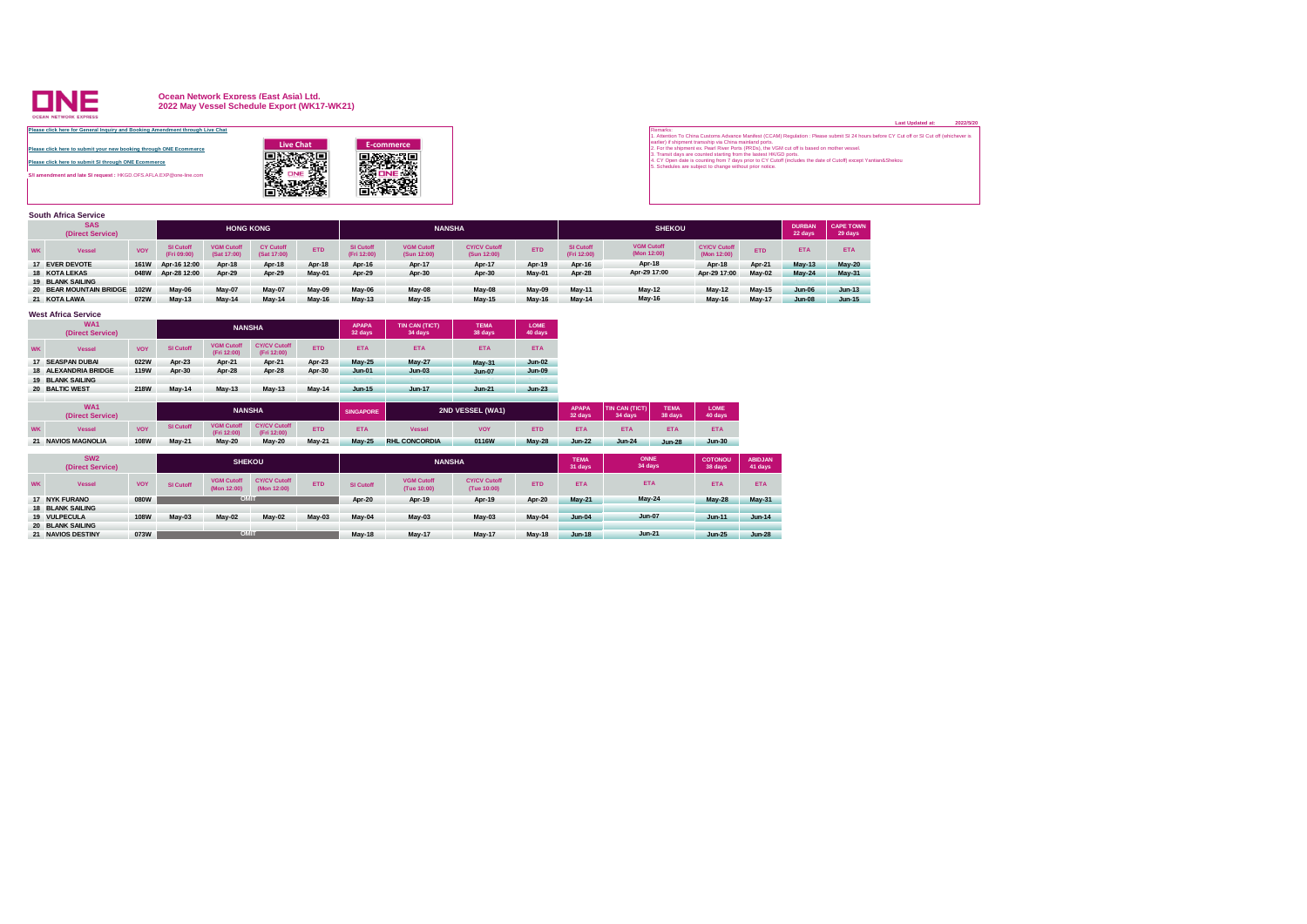### **ONE**

### **Ocean Network Express (East Asia) Ltd. 2022 May Vessel Schedule Export (WK17-WK21)**

| Please click here for General Inquiry and Booking Amendment through Live Chat |                  |            | Remarks:               |
|-------------------------------------------------------------------------------|------------------|------------|------------------------|
|                                                                               |                  |            | 1. Attentio            |
|                                                                               | <b>Live Chat</b> | E-commerce | earlier) if            |
| Please click here to submit your new booking through ONE Ecommerce            |                  |            | 2. For the             |
|                                                                               |                  |            | 3. Transit<br>4. CY Op |
| Please click here to submit SI through ONE Ecommerce                          |                  |            | 5. Sched               |
|                                                                               |                  |            |                        |
| S/I amendment and late SI request : HKGD.OFS.AFLA.EXP@one-line.com            |                  |            |                        |
|                                                                               |                  |            |                        |
|                                                                               |                  |            |                        |
|                                                                               |                  |            |                        |
|                                                                               |                  |            |                        |

|                                                                                                                                                                                                        | <b>Last Updated at:</b> | 2022/5/20 |
|--------------------------------------------------------------------------------------------------------------------------------------------------------------------------------------------------------|-------------------------|-----------|
| Remarks:                                                                                                                                                                                               |                         |           |
| 1. Attention To China Customs Advance Manifest (CCAM) Regulation : Please submit SI 24 hours before CY Cut off or SI Cut off (whichever is<br>earlier) if shipment transship via China mainland ports. |                         |           |
| 2. For the shipment ex. Pearl River Ports (PRDs), the VGM cut off is based on mother vessel.                                                                                                           |                         |           |
| 3. Transit days are counted starting from the lastest HK/GD ports.                                                                                                                                     |                         |           |
| 4. CY Open date is counting from 7 days prior to CY Cutoff (includes the date of Cutoff) except Yantian&Shekou                                                                                         |                         |           |
| 5. Schedules are subject to change without prior notice.                                                                                                                                               |                         |           |
|                                                                                                                                                                                                        |                         |           |
|                                                                                                                                                                                                        |                         |           |

**South Africa Service**

|                                | סטומוו אוווטפ טכו פוטכ         |             |                                 |                                  |                                 |               |                                 |                                  |                                    |            |                                 |                                  |                                    |               |                          |                             |
|--------------------------------|--------------------------------|-------------|---------------------------------|----------------------------------|---------------------------------|---------------|---------------------------------|----------------------------------|------------------------------------|------------|---------------------------------|----------------------------------|------------------------------------|---------------|--------------------------|-----------------------------|
| <b>SAS</b><br>(Direct Service) |                                |             | <b>HONG KONG</b>                |                                  |                                 |               | <b>NANSHA</b>                   |                                  |                                    |            | <b>SHEKOU</b>                   |                                  |                                    |               | <b>DURBAN</b><br>22 days | <b>CAPE TOWN</b><br>29 days |
| <b>WK</b>                      | <b>Vessel</b>                  | <b>VOY</b>  | <b>SI Cutoff</b><br>(Fri 09:00) | <b>VGM Cutoff</b><br>(Sat 17:00) | <b>CY Cutoff</b><br>(Sat 17:00) | <b>ETD</b>    | <b>SI Cutoff</b><br>(Fri 12:00) | <b>VGM Cutoff</b><br>(Sun 12:00) | <b>CY/CV Cutoff</b><br>(Sun 12:00) | <b>ETD</b> | <b>SI Cutoff</b><br>(Fri 12:00) | <b>VGM Cutoff</b><br>(Mon 12:00) | <b>CY/CV Cutoff</b><br>(Mon 12:00) | <b>ETD</b>    | ETA                      | <b>ETA</b>                  |
|                                | 17 EVER DEVOTE                 | <b>161W</b> | Apr-16 12:00                    | Apr-18                           | Apr-18                          | Apr-18        | Apr-16                          | Apr-17                           | Apr-17                             | Apr-19     | Apr-16                          | Apr-18                           | Apr-18                             | Apr-21        | $Mav-13$                 | $May-20$                    |
|                                | 18 KOTA LEKAS                  |             | 048W Apr-28 12:00               | Apr-29                           | Apr-29                          | May-01        | <b>Apr-29</b>                   | Apr-30                           | Apr-30                             | May-01     | Apr-28                          | Apr-29 17:00                     | Apr-29 17:00                       | May-02        | <b>May-24</b>            | May-31                      |
|                                | <b>19 BLANK SAILING</b>        |             |                                 |                                  |                                 |               |                                 |                                  |                                    |            |                                 |                                  |                                    |               |                          |                             |
|                                | <b>20 BEAR MOUNTAIN BRIDGE</b> | <b>102W</b> | May-06                          | May-07                           | May-07                          | May-09        | May-06                          | May-08                           | May-08                             | May-09     | May-11                          | <b>May-12</b>                    | <b>May-12</b>                      | <b>May-15</b> | <b>Jun-06</b>            | $Jun-13$                    |
|                                | 21 KOTA LAWA                   | 072W        | $Mav-13$                        | <b>May-14</b>                    | <b>May-14</b>                   | <b>May-16</b> | <b>May-13</b>                   | <b>May-15</b>                    | <b>May-15</b>                      | May-16     | May-14                          | May-16                           | May-16                             | <b>May-17</b> | <b>Jun-08</b>            | <b>Jun-15</b>               |
|                                |                                |             |                                 |                                  |                                 |               |                                 |                                  |                                    |            |                                 |                                  |                                    |               |                          |                             |

|                                                      | <b>West Africa Service</b>          |             |                  |                                  |                                    |                         |                                  |                        |                         |                           |                        |                        |               |                           |                           |
|------------------------------------------------------|-------------------------------------|-------------|------------------|----------------------------------|------------------------------------|-------------------------|----------------------------------|------------------------|-------------------------|---------------------------|------------------------|------------------------|---------------|---------------------------|---------------------------|
| WA <sub>1</sub><br><b>NANSHA</b><br>(Direct Service) |                                     |             |                  |                                  |                                    | <b>APAPA</b><br>32 days | <b>TIN CAN (TICT)</b><br>34 days | <b>TEMA</b><br>38 days | <b>LOME</b><br>40 days  |                           |                        |                        |               |                           |                           |
| <b>WK</b>                                            | <b>Vessel</b>                       | <b>VOY</b>  | <b>SI Cutoff</b> | <b>VGM Cutoff</b><br>(Fri 12:00) | <b>CY/CV Cutoff</b><br>(Fri 12:00) | <b>ETD</b>              | <b>ETA</b>                       | <b>ETA</b>             | <b>ETA</b>              | <b>ETA</b>                |                        |                        |               |                           |                           |
|                                                      | 17 SEASPAN DUBAI                    | 022W        | Apr-23           | Apr-21                           | Apr-21                             | Apr-23                  | <b>May-25</b>                    | <b>May-27</b>          | <b>May-31</b>           | $Jun-02$                  |                        |                        |               |                           |                           |
|                                                      | <b>18 ALEXANDRIA BRIDGE</b>         | <b>119W</b> | <b>Apr-30</b>    | Apr-28                           | Apr-28                             | Apr-30                  | <b>Jun-01</b>                    | $Jun-03$               | <b>Jun-07</b>           | <b>Jun-09</b>             |                        |                        |               |                           |                           |
|                                                      | <b>19 BLANK SAILING</b>             |             |                  |                                  |                                    |                         |                                  |                        |                         |                           |                        |                        |               |                           |                           |
|                                                      | 20 BALTIC WEST                      | 218W        | May-14           | $May-13$                         | $May-13$                           | May-14                  | <b>Jun-15</b>                    | <b>Jun-17</b>          | <b>Jun-21</b>           | <b>Jun-23</b>             |                        |                        |               |                           |                           |
|                                                      |                                     |             |                  |                                  |                                    |                         |                                  |                        |                         |                           |                        |                        |               |                           |                           |
|                                                      | WA <sub>1</sub><br>(Direct Service) |             | <b>NANSHA</b>    |                                  | <b>SINGAPORE</b>                   |                         | 2ND VESSEL (WA1)                 |                        | <b>APAPA</b><br>32 days | TIN CAN (TICT)<br>34 days | <b>TEMA</b><br>38 days | <b>LOME</b><br>40 days |               |                           |                           |
| <b>WK</b>                                            | <b>Vessel</b>                       | <b>VOY</b>  | <b>SI Cutoff</b> | <b>VGM Cutoff</b><br>(Fri 12:00) | <b>CY/CV Cutoff</b><br>(Fri 12:00) | <b>ETD</b>              | <b>ETA</b>                       | <b>Vessel</b>          | <b>VOY</b>              | <b>ETD</b>                | <b>ETA</b>             | <b>ETA</b>             | <b>ETA</b>    | <b>ETA</b>                |                           |
|                                                      | 21 NAVIOS MAGNOLIA                  | <b>108W</b> | <b>May-21</b>    | <b>May-20</b>                    | $May-20$                           | <b>May-21</b>           | <b>May-25</b>                    | <b>RHL CONCORDIA</b>   | 0116W                   | <b>May-28</b>             | $Jun-22$               | $Jun-24$               | <b>Jun-28</b> | <b>Jun-30</b>             |                           |
|                                                      | SW <sub>2</sub><br>(Direct Service) |             |                  |                                  | <b>SHEKOU</b>                      |                         |                                  | <b>NANSHA</b>          |                         |                           | <b>TEMA</b><br>31 days | <b>ONNE</b><br>34 days |               | <b>COTONOU</b><br>38 days | <b>ABIDJAN</b><br>41 days |

| <b>WK</b> | <b>Vessel</b>           | <b>VOY</b>  | <b>SI Cutoff</b> | <b>VGM Cutoff</b><br>(Mon 12:00) | <b>CY/CV Cutoff</b><br>(Mon 12:00) | <b>ETD</b> | <b>SI Cutoff</b> | <b>VGM Cutoff</b><br>(Tue 10:00) | <b>CY/CV Cutoff</b><br>(Tue 10:00) | <b>ETD</b>    | <b>ETA</b>    | <b>ETA</b>    | <b>ETA</b>    | <b>ETA</b>    |
|-----------|-------------------------|-------------|------------------|----------------------------------|------------------------------------|------------|------------------|----------------------------------|------------------------------------|---------------|---------------|---------------|---------------|---------------|
|           | 17 NYK FURANO           | <b>080W</b> |                  | <b>OMIT</b>                      |                                    |            | Apr-20           | Apr-19                           | Apr-19                             | <b>Apr-20</b> | <b>May-21</b> | <b>May-24</b> | <b>May-28</b> | <b>May-31</b> |
|           | <b>18 BLANK SAILING</b> |             |                  |                                  |                                    |            |                  |                                  |                                    |               |               |               |               |               |
|           | 19 VULPECULA            | <b>108W</b> | May-03           | May-02                           | May-02                             | May-03     | May-04           | May-03                           | May-03                             | May-04        | <b>Jun-04</b> | <b>Jun-07</b> | <b>Jun-11</b> | <b>Jun-14</b> |
|           | <b>20 BLANK SAILING</b> |             |                  |                                  |                                    |            |                  |                                  |                                    |               |               |               |               |               |
|           | 21 NAVIOS DESTINY       | 073W        |                  | OMIT                             |                                    |            | <b>May-18</b>    | May-17                           | May-17                             | <b>May-18</b> | <b>Jun-18</b> | $Jun-21$      | <b>Jun-25</b> | <b>Jun-28</b> |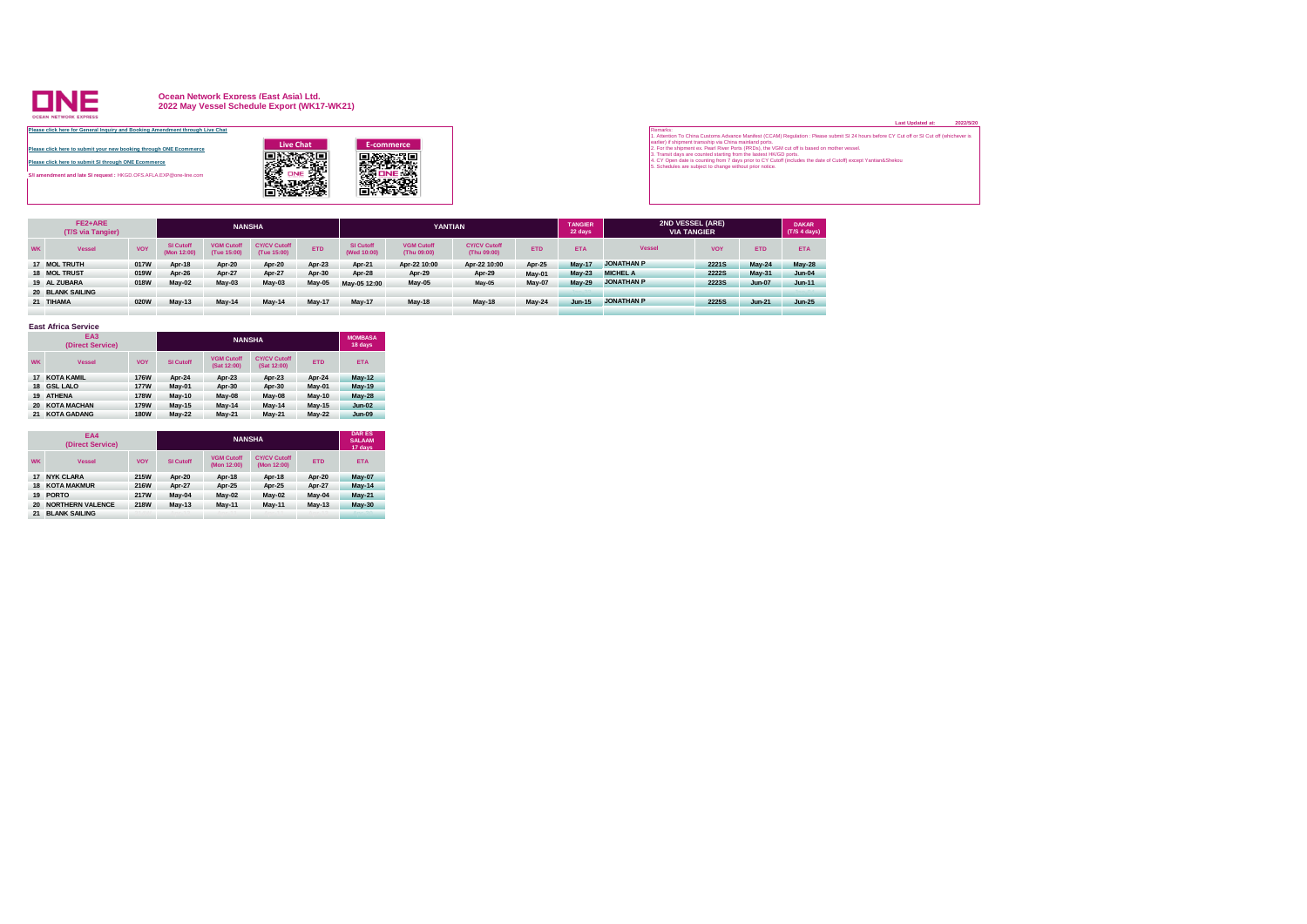## **DNE**

### **Ocean Network Express (East Asia) Ltd. 2022 May Vessel Schedule Export (WK17-WK21)**

| Please click here for General Inquiry and Booking Amendment through Live Chat |                  |            | Remarks:    |
|-------------------------------------------------------------------------------|------------------|------------|-------------|
|                                                                               |                  |            | 1. Attentio |
|                                                                               | <b>Live Chat</b> | E-commerce | earlier) if |
| Please click here to submit your new booking through ONE Ecommerce            |                  |            | 2. For the  |
|                                                                               |                  |            | 3. Transit  |
| Please click here to submit SI through ONE Ecommerce                          |                  |            | 4. CY Op    |
|                                                                               |                  |            | 5. Sched    |
| S/I amendment and late SI request : HKGD.OFS.AFLA.EXP@one-line.com            |                  |            |             |
|                                                                               |                  |            |             |
|                                                                               |                  |            |             |
|                                                                               |                  |            |             |
|                                                                               |                  |            |             |

| Remarks:                                                                                                                                   |  |
|--------------------------------------------------------------------------------------------------------------------------------------------|--|
| 1. Attention To China Customs Advance Manifest (CCAM) Regulation : Please submit SI 24 hours before CY Cut off or SI Cut off (whichever is |  |
| earlier) if shipment transship via China mainland ports.                                                                                   |  |
| 2. For the shipment ex. Pearl River Ports (PRDs), the VGM cut off is based on mother vessel.                                               |  |
| 3. Transit days are counted starting from the lastest HK/GD ports.                                                                         |  |
| 4. CY Open date is counting from 7 days prior to CY Cutoff (includes the date of Cutoff) except Yantian&Shekou                             |  |
| 5. Schedules are subject to change without prior notice.                                                                                   |  |

|           | FE2+ARE<br>(T/S via Tangier) |            | <b>NANSHA</b>            |                                  |                                    |               |                                 | <b>YANTIAN</b>                   |                                    |            |               | 2ND VESSEL (ARE)<br><b>VIA TANGIER</b> |              |               | <b>DAKAR</b><br>(T/S 4 days) |
|-----------|------------------------------|------------|--------------------------|----------------------------------|------------------------------------|---------------|---------------------------------|----------------------------------|------------------------------------|------------|---------------|----------------------------------------|--------------|---------------|------------------------------|
| <b>WK</b> | <b>Vessel</b>                | <b>VOY</b> | SI Cutoff<br>(Mon 12:00) | <b>VGM Cutoff</b><br>(Tue 15:00) | <b>CY/CV Cutoff</b><br>(Tue 15:00) | ETD.          | <b>SI Cutoff</b><br>(Wed 10:00) | <b>VGM Cutoff</b><br>(Thu 09:00) | <b>CY/CV Cutoff</b><br>(Thu 09:00) | <b>ETD</b> | <b>ETA</b>    | <b>Vessel</b>                          | <b>VOY</b>   | <b>ETD</b>    | <b>ETA</b>                   |
|           | 17 MOL TRUTH                 | 017W       | Apr-18                   | Apr-20                           | Apr-20                             | Apr-23        | Apr-21                          | Apr-22 10:00                     | Apr-22 10:00                       | Apr-25     | <b>May-17</b> | <b>JONATHAN P</b>                      | <b>2221S</b> | $Mav-24$      | <b>May-28</b>                |
|           | 18 MOL TRUST                 | 019W       | Apr-26                   | Apr-27                           | Apr-27                             | Apr-30        | Apr-28                          | Apr-29                           | Apr-29                             | May-01     | $May-23$      | <b>MICHEL A</b>                        | <b>2222S</b> | <b>May-31</b> | $Jun-04$                     |
|           | 19 AL ZUBARA                 | 018W       | May-02                   | $May-03$                         | May-03                             | <b>May-05</b> | May-05 12:00                    | May-05                           | May-05                             | May-07     | <b>May-29</b> | <b>JONATHAN P</b>                      | 2223S        | <b>Jun-07</b> | <b>Jun-11</b>                |
|           | <b>20 BLANK SAILING</b>      |            |                          |                                  |                                    |               |                                 |                                  |                                    |            |               |                                        |              |               |                              |
|           | 21 TIHAMA                    | 020W       | <b>May-13</b>            | May-14                           | <b>May-14</b>                      | <b>May-17</b> | <b>May-17</b>                   | <b>May-18</b>                    | <b>May-18</b>                      | $May-24$   | $Jun-15$      | <b>JONATHAN P</b>                      | <b>2225S</b> | <b>Jun-21</b> | <b>Jun-25</b>                |
|           |                              |            |                          |                                  |                                    |               |                                 |                                  |                                    |            |               |                                        |              |               |                              |

#### **East Africa Service**

|           | EA3<br>(Direct Service) |             |                  | <b>MOMBASA</b><br>18 days        |                                    |               |               |
|-----------|-------------------------|-------------|------------------|----------------------------------|------------------------------------|---------------|---------------|
| <b>WK</b> | <b>Vessel</b>           | <b>VOY</b>  | <b>SI Cutoff</b> | <b>VGM Cutoff</b><br>(Sat 12:00) | <b>CY/CV Cutoff</b><br>(Sat 12:00) | <b>ETD</b>    | <b>ETA</b>    |
| 17        | <b>KOTA KAMIL</b>       | <b>176W</b> | Apr-24           | Apr-23                           | Apr-23                             | Apr-24        | <b>May-12</b> |
| 18        | <b>GSL LALO</b>         | <b>177W</b> | May-01           | Apr-30                           | <b>Apr-30</b>                      | May-01        | <b>May-19</b> |
| 19        | <b>ATHENA</b>           | <b>178W</b> | <b>May-10</b>    | May-08                           | May-08                             | <b>May-10</b> | <b>May-28</b> |
| 20        | <b>KOTA MACHAN</b>      | <b>179W</b> | <b>May-15</b>    | <b>May-14</b>                    | <b>May-14</b>                      | <b>May-15</b> | <b>Jun-02</b> |
| 21        | <b>KOTA GADANG</b>      | <b>180W</b> | <b>May-22</b>    | <b>May-21</b>                    | <b>May-21</b>                      | <b>May-22</b> | <b>Jun-09</b> |

|           | <b>EA4</b><br>(Direct Service) |             |                  | <b>NANSHA</b>                    |                                    |               | <b>DAR ES</b><br><b>SALAAM</b><br>17 days |
|-----------|--------------------------------|-------------|------------------|----------------------------------|------------------------------------|---------------|-------------------------------------------|
| <b>WK</b> | Vessel                         | <b>VOY</b>  | <b>SI Cutoff</b> | <b>VGM Cutoff</b><br>(Mon 12:00) | <b>CY/CV Cutoff</b><br>(Mon 12:00) | <b>ETD</b>    | <b>ETA</b>                                |
| 17        | <b>NYK CLARA</b>               | <b>215W</b> | Apr-20           | Apr-18                           | Apr-18                             | Apr-20        | May-07                                    |
| 18        | <b>KOTA MAKMUR</b>             | 216W        | <b>Apr-27</b>    | Apr-25                           | Apr-25                             | Apr-27        | May-14                                    |
| 19        | <b>PORTO</b>                   | <b>217W</b> | May-04           | May-02                           | May-02                             | May-04        | <b>May-21</b>                             |
| 20        | <b>NORTHERN VALENCE</b>        | <b>218W</b> | <b>May-13</b>    | <b>May-11</b>                    | <b>May-11</b>                      | <b>May-13</b> | <b>May-30</b>                             |
| 21        | <b>BLANK SAILING</b>           |             |                  |                                  |                                    |               |                                           |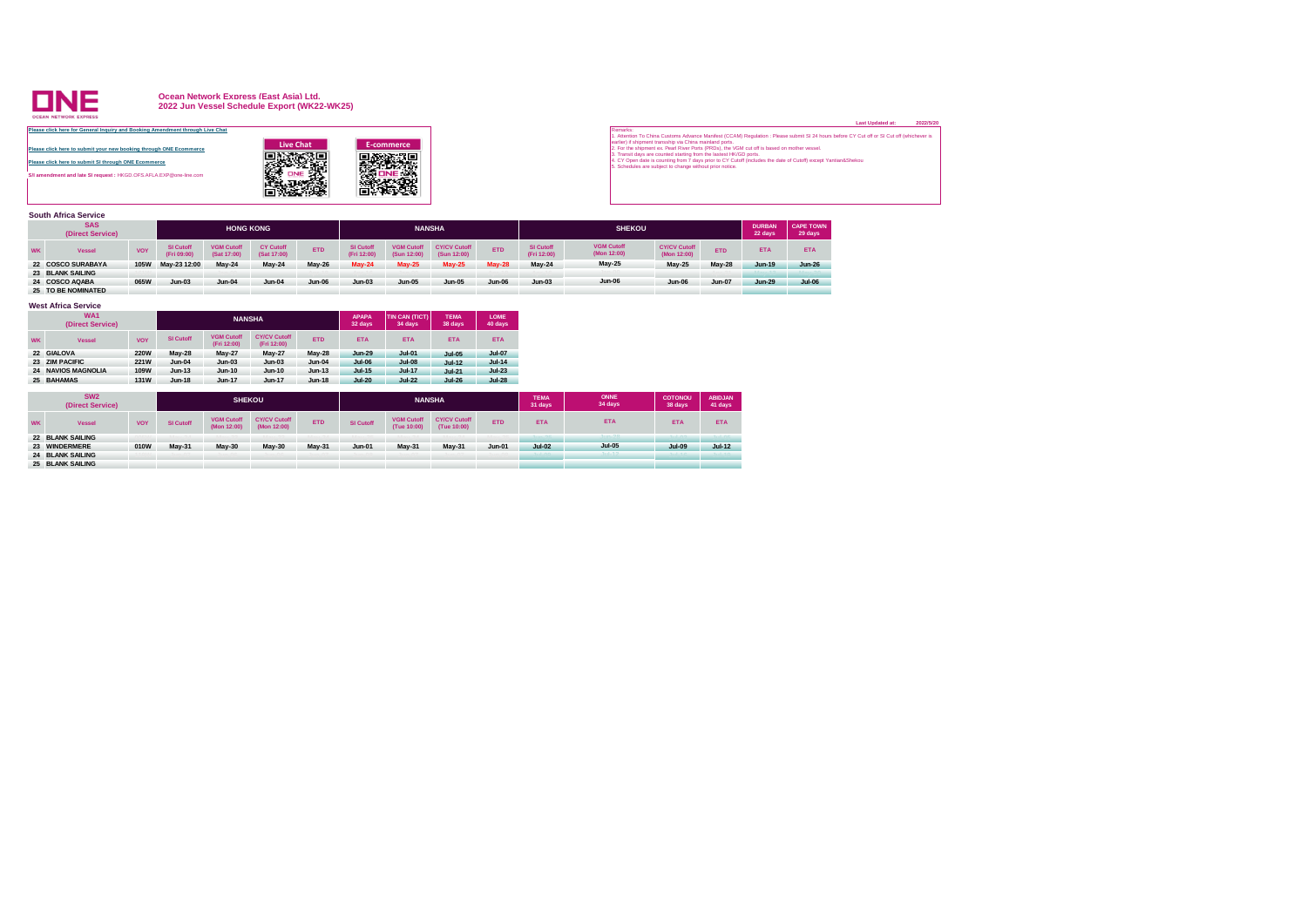## **DNE**

### **Ocean Network Express (East Asia) Ltd. 2022 Jun Vessel Schedule Export (WK22-WK25)**

| TPlease click here for General Induiry and Booking Amendment through Live Chat         |            | I Kemarks.                |
|----------------------------------------------------------------------------------------|------------|---------------------------|
|                                                                                        |            | 1. Attenti                |
| <b>Live Chat</b><br>Please click here to submit your new booking through ONE Ecommerce | E-commerce | earlier) if<br>2. For the |
| Please click here to submit SI through ONE Ecommerce                                   |            | 3. Transit<br>4. CY Op    |
|                                                                                        |            | 5. Sched                  |
| S/I amendment and late SI request : HKGD.OFS.AFLA.EXP@one-line.com                     |            |                           |
|                                                                                        |            |                           |
|                                                                                        |            |                           |

|                                                                                                                                            | <b>Last Updated at:</b> | 2022/5/20 |
|--------------------------------------------------------------------------------------------------------------------------------------------|-------------------------|-----------|
| Remarks:                                                                                                                                   |                         |           |
| 1. Attention To China Customs Advance Manifest (CCAM) Regulation : Please submit SI 24 hours before CY Cut off or SI Cut off (whichever is |                         |           |
| earlier) if shipment transship via China mainland ports.                                                                                   |                         |           |
| 2. For the shipment ex. Pearl River Ports (PRDs), the VGM cut off is based on mother vessel.                                               |                         |           |
| 3. Transit days are counted starting from the lastest HK/GD ports.                                                                         |                         |           |
| 4. CY Open date is counting from 7 days prior to CY Cutoff (includes the date of Cutoff) except Yantian&Shekou                             |                         |           |
| 5. Schedules are subject to change without prior notice.                                                                                   |                         |           |
|                                                                                                                                            |                         |           |
|                                                                                                                                            |                         |           |
|                                                                                                                                            |                         |           |

**South Africa Service**

|                                | ______                  |             |                                 |                                  |                                 |               |                                 |                                  |                                    |               |                                 |                                  |                                    |               |                          |                             |
|--------------------------------|-------------------------|-------------|---------------------------------|----------------------------------|---------------------------------|---------------|---------------------------------|----------------------------------|------------------------------------|---------------|---------------------------------|----------------------------------|------------------------------------|---------------|--------------------------|-----------------------------|
| <b>SAS</b><br>(Direct Service) |                         |             |                                 | <b>HONG KONG</b>                 |                                 |               | <b>NANSHA</b>                   |                                  |                                    |               | <b>SHEKOU</b>                   |                                  |                                    |               | <b>DURBAN</b><br>22 days | <b>CAPE TOWN</b><br>29 days |
| <b>WK</b>                      | <b>Vessel</b>           | <b>VOY</b>  | <b>SI Cutoff</b><br>(Fri 09:00) | <b>VGM Cutoff</b><br>(Sat 17:00) | <b>CY Cutoff</b><br>(Sat 17:00) | ETD.          | <b>SI Cutoff</b><br>(Fri 12:00) | <b>VGM Cutoff</b><br>(Sun 12:00) | <b>CY/CV Cutoff</b><br>(Sun 12:00) | <b>ETD</b>    | <b>SI Cutoff</b><br>(Fri 12:00) | <b>VGM Cutoff</b><br>(Mon 12:00) | <b>CY/CV Cutoff</b><br>(Mon 12:00) | <b>ETD</b>    | <b>ETA</b>               | <b>ETA</b>                  |
|                                | 22 COSCO SURABAYA       | <b>105W</b> | May-23 12:00                    | May-24                           | <b>May-24</b>                   | <b>May-26</b> | <b>May-24</b>                   | <b>May-25</b>                    | $May-25$                           | <b>May-28</b> | $Mav-24$                        | <b>May-25</b>                    | <b>May-25</b>                      | May-28        | <b>Jun-19</b>            | $Jun-26$                    |
|                                | <b>23 BLANK SAILING</b> |             |                                 |                                  |                                 |               |                                 |                                  |                                    |               |                                 | <b><i><u>American</u></i></b>    |                                    |               |                          |                             |
|                                | 24 COSCO AQABA          | 065W        | <b>Jun-03</b>                   | $Jun-04$                         | <b>Jun-04</b>                   | <b>Jun-06</b> | <b>Jun-03</b>                   | Jun-05                           | <b>Jun-05</b>                      | <b>Jun-06</b> | <b>Jun-03</b>                   | <b>Jun-06</b>                    | <b>Jun-06</b>                      | <b>Jun-07</b> | <b>Jun-29</b>            | <b>Jul-06</b>               |
|                                | 25 TO BE NOMINATED      |             |                                 |                                  |                                 |               |                                 |                                  |                                    |               |                                 |                                  |                                    |               |                          |                             |
|                                |                         |             |                                 |                                  |                                 |               |                                 |                                  |                                    |               |                                 |                                  |                                    |               |                          |                             |

#### **West Africa Service**

|           | <b>WA1</b><br>(Direct Service) |             |                  | <b>NANSHA</b>                    |                                    |               | <b>APAPA</b><br>32 days | TIN CAN (TICT)<br>34 days | <b>TEMA</b><br>38 days | <b>LOME</b><br>40 days |
|-----------|--------------------------------|-------------|------------------|----------------------------------|------------------------------------|---------------|-------------------------|---------------------------|------------------------|------------------------|
| <b>WK</b> | <b>Vessel</b>                  | <b>VOY</b>  | <b>SI Cutoff</b> | <b>VGM Cutoff</b><br>(Fri 12:00) | <b>CY/CV Cutoff</b><br>(Fri 12:00) | <b>ETD</b>    | <b>ETA</b>              | <b>ETA</b>                | <b>ETA</b>             | <b>ETA</b>             |
| 22        | <b>GIALOVA</b>                 | <b>220W</b> | <b>May-28</b>    | <b>May-27</b>                    | <b>May-27</b>                      | <b>May-28</b> | <b>Jun-29</b>           | <b>Jul-01</b>             | <b>Jul-05</b>          | <b>Jul-07</b>          |
| 23        | <b>ZIM PACIFIC</b>             | <b>221W</b> | $Jun-04$         | $Jun-03$                         | $Jun-03$                           | <b>Jun-04</b> | <b>Jul-06</b>           | <b>Jul-08</b>             | <b>Jul-12</b>          | $Jul-14$               |
| 24        | <b>NAVIOS MAGNOLIA</b>         | 109W        | $Jun-13$         | <b>Jun-10</b>                    | <b>Jun-10</b>                      | <b>Jun-13</b> | Jul-15                  | <b>Jul-17</b>             | <b>Jul-21</b>          | $Jul-23$               |
| 25        | <b>BAHAMAS</b>                 | <b>131W</b> | <b>Jun-18</b>    | <b>Jun-17</b>                    | <b>Jun-17</b>                      | <b>Jun-18</b> | <b>Jul-20</b>           | <b>Jul-22</b>             | <b>Jul-26</b>          | <b>Jul-28</b>          |

| SW <sub>2</sub><br>(Direct Service) |                         |            |                  |                                  | <b>SHEKOU</b>                      |               |                  |                                  | <b>NANSHA</b>                      |               | <b>TEMA</b><br>31 days | <b>ONNE</b><br>34 days | <b>COTONOU</b><br>38 days | <b>ABIDJAN</b><br>41 days |
|-------------------------------------|-------------------------|------------|------------------|----------------------------------|------------------------------------|---------------|------------------|----------------------------------|------------------------------------|---------------|------------------------|------------------------|---------------------------|---------------------------|
| <b>WK</b>                           | <b>Vessel</b>           | <b>VOY</b> | <b>SI Cutoff</b> | <b>VGM Cutoff</b><br>(Mon 12:00) | <b>CY/CV Cutoff</b><br>(Mon 12:00) | <b>ETD</b>    | <b>SI Cutoff</b> | <b>VGM Cutoff</b><br>(Tue 10:00) | <b>CY/CV Cutoff</b><br>(Tue 10:00) | <b>ETD</b>    | <b>ETA</b>             | <b>ETA</b>             | <b>ETA</b>                | <b>ETA</b>                |
|                                     | <b>22 BLANK SAILING</b> |            |                  |                                  |                                    |               |                  |                                  |                                    |               |                        | $l_{\rm{rms}}$ 00      | <b>ALCOHOL: YESTER</b>    | <b>Australia</b>          |
|                                     | 23 WINDERMERE           | 010W       | <b>May-31</b>    | <b>May-30</b>                    | <b>May-30</b>                      | <b>May-31</b> | <b>Jun-01</b>    | <b>May-31</b>                    | <b>Mav-31</b>                      | <b>Jun-01</b> | $Jul-02$               | <b>Jul-05</b>          | <b>Jul-09</b>             | <b>Jul-12</b>             |
|                                     | <b>24 BLANK SAILING</b> |            |                  |                                  |                                    |               |                  |                                  |                                    |               | <b>Australia</b>       | $1 - 1 - 4 - 3$        | <b>All Angeles</b>        | <b>Australia</b>          |
|                                     | <b>25 BLANK SAILING</b> |            |                  |                                  |                                    |               |                  |                                  |                                    |               |                        |                        |                           |                           |